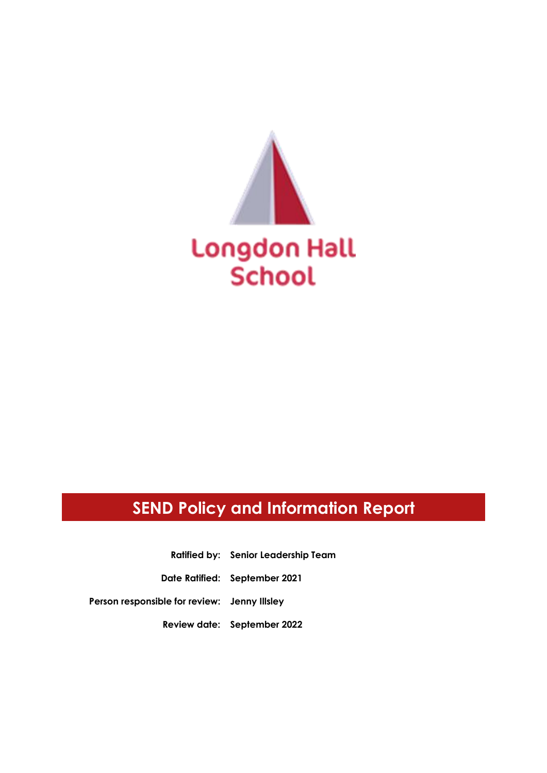

# **SEND Policy and Information Report**

**Ratified by: Senior Leadership Team Date Ratified: September 2021 Person responsible for review: Jenny Illsley**

**Review date: September 2022**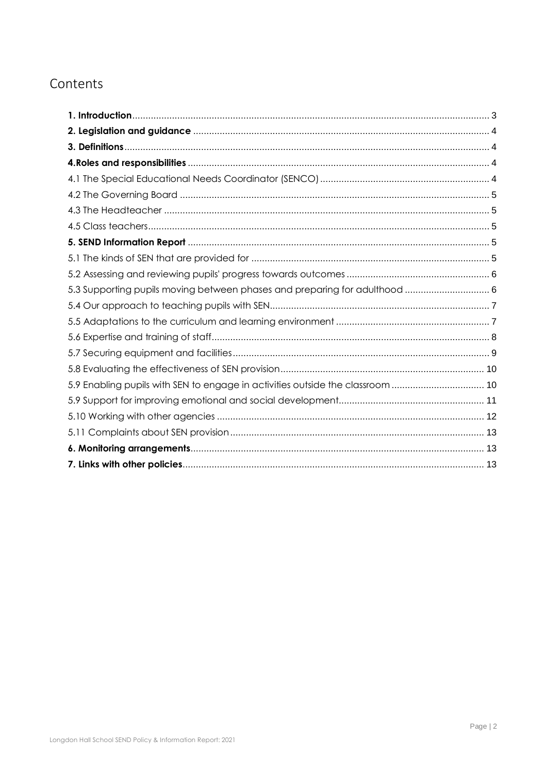## Contents

| 5.3 Supporting pupils moving between phases and preparing for adulthood  6     |  |
|--------------------------------------------------------------------------------|--|
|                                                                                |  |
|                                                                                |  |
|                                                                                |  |
|                                                                                |  |
|                                                                                |  |
| 5.9 Enabling pupils with SEN to engage in activities outside the classroom  10 |  |
|                                                                                |  |
|                                                                                |  |
|                                                                                |  |
|                                                                                |  |
|                                                                                |  |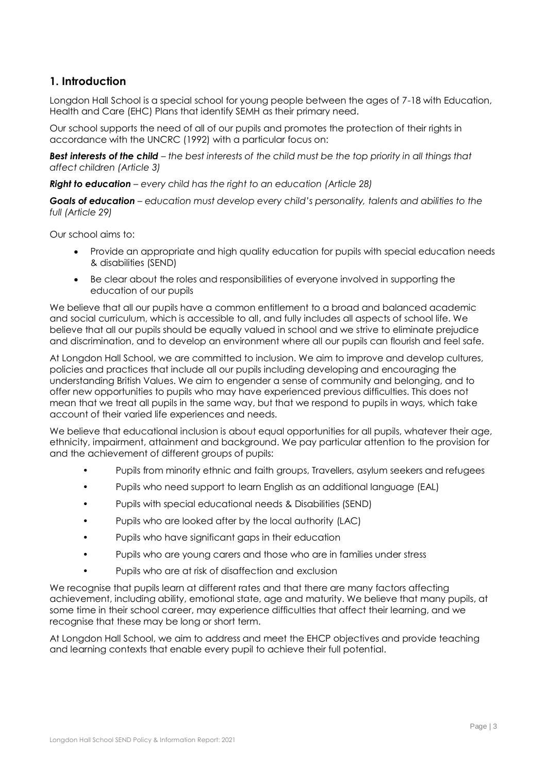### <span id="page-2-0"></span>**1. Introduction**

Longdon Hall School is a special school for young people between the ages of 7-18 with Education, Health and Care (EHC) Plans that identify SEMH as their primary need.

Our school supports the need of all of our pupils and promotes the protection of their rights in accordance with the UNCRC (1992) with a particular focus on:

*Best interests of the child – the best interests of the child must be the top priority in all things that affect children (Article 3)*

*Right to education – every child has the right to an education (Article 28)*

*Goals of education – education must develop every child's personality, talents and abilities to the full (Article 29)*

Our school aims to:

- Provide an appropriate and high quality education for pupils with special education needs & disabilities (SEND)
- Be clear about the roles and responsibilities of everyone involved in supporting the education of our pupils

We believe that all our pupils have a common entitlement to a broad and balanced academic and social curriculum, which is accessible to all, and fully includes all aspects of school life. We believe that all our pupils should be equally valued in school and we strive to eliminate prejudice and discrimination, and to develop an environment where all our pupils can flourish and feel safe.

At Longdon Hall School, we are committed to inclusion. We aim to improve and develop cultures, policies and practices that include all our pupils including developing and encouraging the understanding British Values. We aim to engender a sense of community and belonging, and to offer new opportunities to pupils who may have experienced previous difficulties. This does not mean that we treat all pupils in the same way, but that we respond to pupils in ways, which take account of their varied life experiences and needs.

We believe that educational inclusion is about equal opportunities for all pupils, whatever their age, ethnicity, impairment, attainment and background. We pay particular attention to the provision for and the achievement of different groups of pupils:

- Pupils from minority ethnic and faith groups, Travellers, asylum seekers and refugees
- Pupils who need support to learn English as an additional language (EAL)
- Pupils with special educational needs & Disabilities (SEND)
- Pupils who are looked after by the local authority (LAC)
- Pupils who have significant gaps in their education
- Pupils who are young carers and those who are in families under stress
- Pupils who are at risk of disaffection and exclusion

We recognise that pupils learn at different rates and that there are many factors affecting achievement, including ability, emotional state, age and maturity. We believe that many pupils, at some time in their school career, may experience difficulties that affect their learning, and we recognise that these may be long or short term.

At Longdon Hall School, we aim to address and meet the EHCP objectives and provide teaching and learning contexts that enable every pupil to achieve their full potential.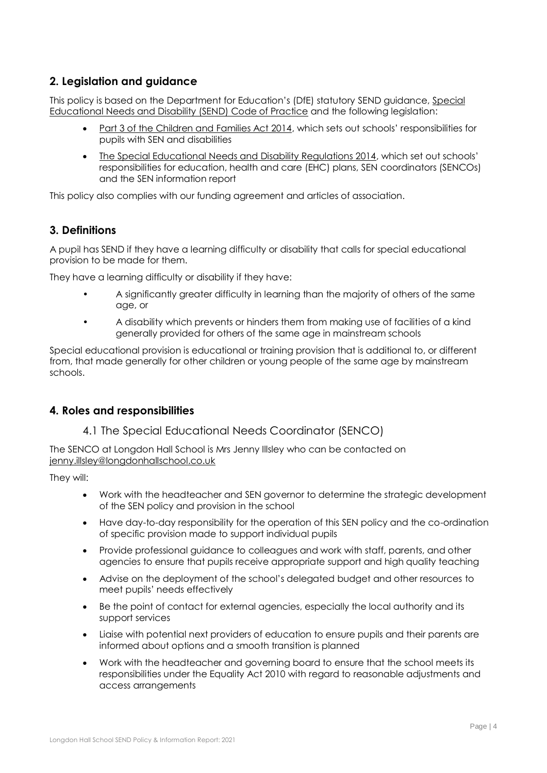### <span id="page-3-0"></span>**2. Legislation and guidance**

This policy is based on the Department for Education's (DfE) statutory SEND guidance[, Special](https://www.gov.uk/government/uploads/system/uploads/attachment_data/file/398815/SEND_Code_of_Practice_January_2015.pdf)  [Educational Needs and Disability \(SEND\) Code of Practice](https://www.gov.uk/government/uploads/system/uploads/attachment_data/file/398815/SEND_Code_of_Practice_January_2015.pdf) and the following legislation:

- [Part 3 of the Children and Families Act 2014](http://www.legislation.gov.uk/ukpga/2014/6/part/3), which sets out schools' responsibilities for pupils with SEN and disabilities
- [The Special Educational Needs and Disability Regulations 2014](http://www.legislation.gov.uk/uksi/2014/1530/contents/made), which set out schools' responsibilities for education, health and care (EHC) plans, SEN coordinators (SENCOs) and the SEN information report

This policy also complies with our funding agreement and articles of association.

### <span id="page-3-1"></span>**3. Definitions**

A pupil has SEND if they have a learning difficulty or disability that calls for special educational provision to be made for them.

They have a learning difficulty or disability if they have:

- A significantly greater difficulty in learning than the majority of others of the same age, or
- A disability which prevents or hinders them from making use of facilities of a kind generally provided for others of the same age in mainstream schools

Special educational provision is educational or training provision that is additional to, or different from, that made generally for other children or young people of the same age by mainstream schools.

### <span id="page-3-3"></span><span id="page-3-2"></span>**4. Roles and responsibilities**

### 4.1 The Special Educational Needs Coordinator (SENCO)

The SENCO at Longdon Hall School is Mrs Jenny Illsley who can be contacted on jenny.illsley@longdonhallschool.co.uk

They will:

- Work with the headteacher and SEN governor to determine the strategic development of the SEN policy and provision in the school
- Have day-to-day responsibility for the operation of this SEN policy and the co-ordination of specific provision made to support individual pupils
- Provide professional guidance to colleagues and work with staff, parents, and other agencies to ensure that pupils receive appropriate support and high quality teaching
- Advise on the deployment of the school's delegated budget and other resources to meet pupils' needs effectively
- Be the point of contact for external agencies, especially the local authority and its support services
- Liaise with potential next providers of education to ensure pupils and their parents are informed about options and a smooth transition is planned
- Work with the headteacher and governing board to ensure that the school meets its responsibilities under the Equality Act 2010 with regard to reasonable adjustments and access arrangements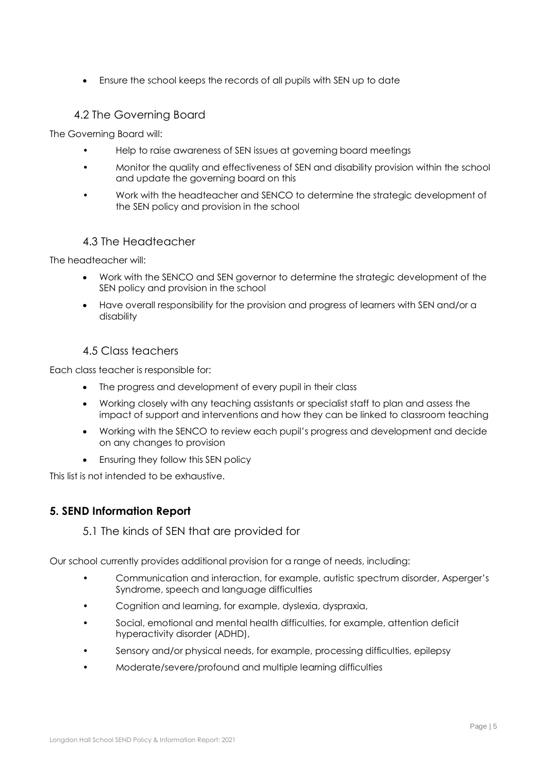Ensure the school keeps the records of all pupils with SEN up to date

### 4.2 The Governing Board

<span id="page-4-0"></span>The Governing Board will:

- Help to raise awareness of SEN issues at governing board meetings
- Monitor the quality and effectiveness of SEN and disability provision within the school and update the governing board on this
- Work with the headteacher and SENCO to determine the strategic development of the SEN policy and provision in the school

### 4.3 The Headteacher

<span id="page-4-1"></span>The headteacher will:

- Work with the SENCO and SEN governor to determine the strategic development of the SEN policy and provision in the school
- Have overall responsibility for the provision and progress of learners with SEN and/or a disability

### 4.5 Class teachers

<span id="page-4-2"></span>Each class teacher is responsible for:

- The progress and development of every pupil in their class
- Working closely with any teaching assistants or specialist staff to plan and assess the impact of support and interventions and how they can be linked to classroom teaching
- Working with the SENCO to review each pupil's progress and development and decide on any changes to provision
- Ensuring they follow this SEN policy

This list is not intended to be exhaustive.

### <span id="page-4-4"></span><span id="page-4-3"></span>**5. SEND Information Report**

5.1 The kinds of SEN that are provided for

Our school currently provides additional provision for a range of needs, including:

- Communication and interaction, for example, autistic spectrum disorder, Asperger's Syndrome, speech and language difficulties
- Cognition and learning, for example, dyslexia, dyspraxia,
- Social, emotional and mental health difficulties, for example, attention deficit hyperactivity disorder (ADHD),
- Sensory and/or physical needs, for example, processing difficulties, epilepsy
- Moderate/severe/profound and multiple learning difficulties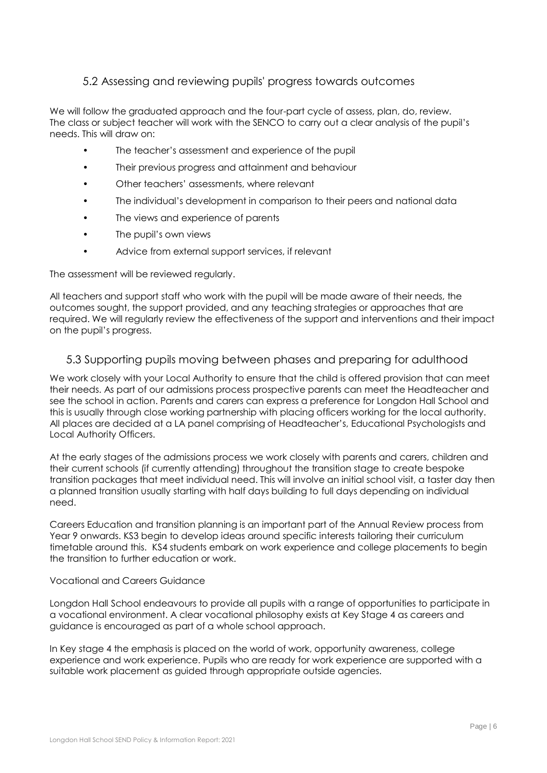### 5.2 Assessing and reviewing pupils' progress towards outcomes

<span id="page-5-0"></span>We will follow the graduated approach and the four-part cycle of assess, plan, do, review. The class or subject teacher will work with the SENCO to carry out a clear analysis of the pupil's needs. This will draw on:

- The teacher's assessment and experience of the pupil
- Their previous progress and attainment and behaviour
- Other teachers' assessments, where relevant
- The individual's development in comparison to their peers and national data
- The views and experience of parents
- The pupil's own views
- Advice from external support services, if relevant

The assessment will be reviewed regularly.

All teachers and support staff who work with the pupil will be made aware of their needs, the outcomes sought, the support provided, and any teaching strategies or approaches that are required. We will regularly review the effectiveness of the support and interventions and their impact on the pupil's progress.

### <span id="page-5-1"></span>5.3 Supporting pupils moving between phases and preparing for adulthood

We work closely with your Local Authority to ensure that the child is offered provision that can meet their needs. As part of our admissions process prospective parents can meet the Headteacher and see the school in action. Parents and carers can express a preference for Longdon Hall School and this is usually through close working partnership with placing officers working for the local authority. All places are decided at a LA panel comprising of Headteacher's, Educational Psychologists and Local Authority Officers.

At the early stages of the admissions process we work closely with parents and carers, children and their current schools (if currently attending) throughout the transition stage to create bespoke transition packages that meet individual need. This will involve an initial school visit, a taster day then a planned transition usually starting with half days building to full days depending on individual need.

Careers Education and transition planning is an important part of the Annual Review process from Year 9 onwards. KS3 begin to develop ideas around specific interests tailoring their curriculum timetable around this. KS4 students embark on work experience and college placements to begin the transition to further education or work.

#### Vocational and Careers Guidance

Longdon Hall School endeavours to provide all pupils with a range of opportunities to participate in a vocational environment. A clear vocational philosophy exists at Key Stage 4 as careers and guidance is encouraged as part of a whole school approach.

In Key stage 4 the emphasis is placed on the world of work, opportunity awareness, college experience and work experience. Pupils who are ready for work experience are supported with a suitable work placement as guided through appropriate outside agencies.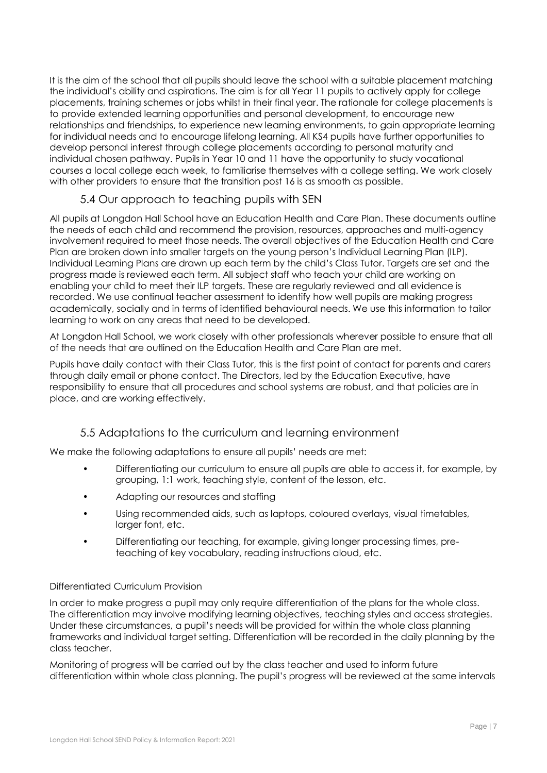It is the aim of the school that all pupils should leave the school with a suitable placement matching the individual's ability and aspirations. The aim is for all Year 11 pupils to actively apply for college placements, training schemes or jobs whilst in their final year. The rationale for college placements is to provide extended learning opportunities and personal development, to encourage new relationships and friendships, to experience new learning environments, to gain appropriate learning for individual needs and to encourage lifelong learning. All KS4 pupils have further opportunities to develop personal interest through college placements according to personal maturity and individual chosen pathway. Pupils in Year 10 and 11 have the opportunity to study vocational courses a local college each week, to familiarise themselves with a college setting. We work closely with other providers to ensure that the transition post 16 is as smooth as possible.

### 5.4 Our approach to teaching pupils with SEN

<span id="page-6-0"></span>All pupils at Longdon Hall School have an Education Health and Care Plan. These documents outline the needs of each child and recommend the provision, resources, approaches and multi-agency involvement required to meet those needs. The overall objectives of the Education Health and Care Plan are broken down into smaller targets on the young person's Individual Learning Plan (ILP). Individual Learning Plans are drawn up each term by the child's Class Tutor. Targets are set and the progress made is reviewed each term. All subject staff who teach your child are working on enabling your child to meet their ILP targets. These are regularly reviewed and all evidence is recorded. We use continual teacher assessment to identify how well pupils are making progress academically, socially and in terms of identified behavioural needs. We use this information to tailor learning to work on any areas that need to be developed.

At Longdon Hall School, we work closely with other professionals wherever possible to ensure that all of the needs that are outlined on the Education Health and Care Plan are met.

Pupils have daily contact with their Class Tutor, this is the first point of contact for parents and carers through daily email or phone contact. The Directors, led by the Education Executive, have responsibility to ensure that all procedures and school systems are robust, and that policies are in place, and are working effectively.

### 5.5 Adaptations to the curriculum and learning environment

<span id="page-6-1"></span>We make the following adaptations to ensure all pupils' needs are met:

- Differentiating our curriculum to ensure all pupils are able to access it, for example, by grouping, 1:1 work, teaching style, content of the lesson, etc.
- Adapting our resources and staffing
- Using recommended aids, such as laptops, coloured overlays, visual timetables, larger font, etc.
- Differentiating our teaching, for example, giving longer processing times, preteaching of key vocabulary, reading instructions aloud, etc.

#### Differentiated Curriculum Provision

In order to make progress a pupil may only require differentiation of the plans for the whole class. The differentiation may involve modifying learning objectives, teaching styles and access strategies. Under these circumstances, a pupil's needs will be provided for within the whole class planning frameworks and individual target setting. Differentiation will be recorded in the daily planning by the class teacher.

Monitoring of progress will be carried out by the class teacher and used to inform future differentiation within whole class planning. The pupil's progress will be reviewed at the same intervals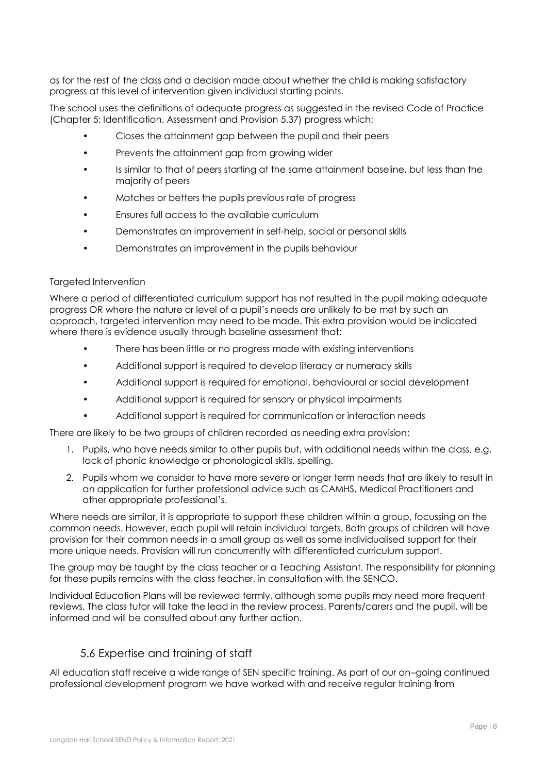as for the rest of the class and a decision made about whether the child is making satisfactory progress at this level of intervention given individual starting points.

The school uses the definitions of adequate progress as suggested in the revised Code of Practice (Chapter 5: Identification, Assessment and Provision 5.37) progress which:

- Closes the attainment gap between the pupil and their peers
- Prevents the attainment gap from growing wider
- Is similar to that of peers starting at the same attainment baseline, but less than the majority of peers
- Matches or betters the pupils previous rate of progress
- Ensures full access to the available curriculum
- Demonstrates an improvement in self-help, social or personal skills
- Demonstrates an improvement in the pupils behaviour

#### Targeted Intervention

Where a period of differentiated curriculum support has not resulted in the pupil making adequate progress OR where the nature or level of a pupil's needs are unlikely to be met by such an approach, targeted intervention may need to be made. This extra provision would be indicated where there is evidence usually through baseline assessment that:

- There has been little or no progress made with existing interventions
- Additional support is required to develop literacy or numeracy skills
- Additional support is required for emotional, behavioural or social development
- Additional support is required for sensory or physical impairments
- Additional support is required for communication or interaction needs

There are likely to be two groups of children recorded as needing extra provision:

- 1. Pupils, who have needs similar to other pupils but, with additional needs within the class, e.g. lack of phonic knowledge or phonological skills, spelling.
- 2. Pupils whom we consider to have more severe or longer term needs that are likely to result in an application for further professional advice such as CAMHS, Medical Practitioners and other appropriate professional's.

Where needs are similar, it is appropriate to support these children within a group, focussing on the common needs. However, each pupil will retain individual targets. Both groups of children will have provision for their common needs in a small group as well as some individualised support for their more unique needs. Provision will run concurrently with differentiated curriculum support.

The group may be taught by the class teacher or a Teaching Assistant. The responsibility for planning for these pupils remains with the class teacher, in consultation with the SENCO.

Individual Education Plans will be reviewed termly, although some pupils may need more frequent reviews. The class tutor will take the lead in the review process. Parents/carers and the pupil, will be informed and will be consulted about any further action.

#### 5.6 Expertise and training of staff

<span id="page-7-0"></span>All education staff receive a wide range of SEN specific training. As part of our on–going continued professional development program we have worked with and receive regular training from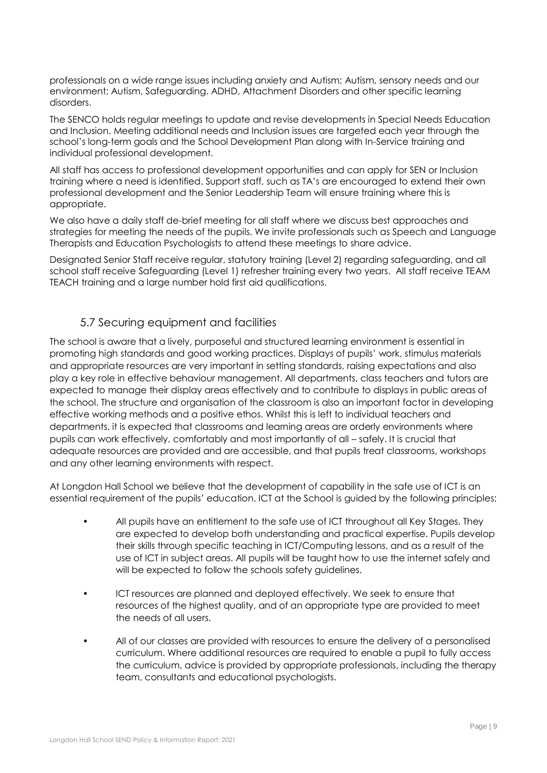professionals on a wide range issues including anxiety and Autism; Autism, sensory needs and our environment; Autism, Safeguarding, ADHD, Attachment Disorders and other specific learning disorders.

The SENCO holds regular meetings to update and revise developments in Special Needs Education and Inclusion. Meeting additional needs and Inclusion issues are targeted each year through the school's long-term goals and the School Development Plan along with In-Service training and individual professional development.

All staff has access to professional development opportunities and can apply for SEN or Inclusion training where a need is identified. Support staff, such as TA's are encouraged to extend their own professional development and the Senior Leadership Team will ensure training where this is appropriate.

We also have a daily staff de-brief meeting for all staff where we discuss best approaches and strategies for meeting the needs of the pupils. We invite professionals such as Speech and Language Therapists and Education Psychologists to attend these meetings to share advice.

Designated Senior Staff receive regular, statutory training (Level 2) regarding safeguarding, and all school staff receive Safeguarding (Level 1) refresher training every two years. All staff receive TEAM TEACH training and a large number hold first aid qualifications.

### 5.7 Securing equipment and facilities

<span id="page-8-0"></span>The school is aware that a lively, purposeful and structured learning environment is essential in promoting high standards and good working practices. Displays of pupils' work, stimulus materials and appropriate resources are very important in setting standards, raising expectations and also play a key role in effective behaviour management. All departments, class teachers and tutors are expected to manage their display areas effectively and to contribute to displays in public areas of the school. The structure and organisation of the classroom is also an important factor in developing effective working methods and a positive ethos. Whilst this is left to individual teachers and departments, it is expected that classrooms and learning areas are orderly environments where pupils can work effectively, comfortably and most importantly of all – safely. It is crucial that adequate resources are provided and are accessible, and that pupils treat classrooms, workshops and any other learning environments with respect.

At Longdon Hall School we believe that the development of capability in the safe use of ICT is an essential requirement of the pupils' education. ICT at the School is guided by the following principles:

- All pupils have an entitlement to the safe use of ICT throughout all Key Stages. They are expected to develop both understanding and practical expertise. Pupils develop their skills through specific teaching in ICT/Computing lessons, and as a result of the use of ICT in subject areas. All pupils will be taught how to use the internet safely and will be expected to follow the schools safety guidelines.
- ICT resources are planned and deployed effectively. We seek to ensure that resources of the highest quality, and of an appropriate type are provided to meet the needs of all users.
- All of our classes are provided with resources to ensure the delivery of a personalised curriculum. Where additional resources are required to enable a pupil to fully access the curriculum, advice is provided by appropriate professionals, including the therapy team, consultants and educational psychologists.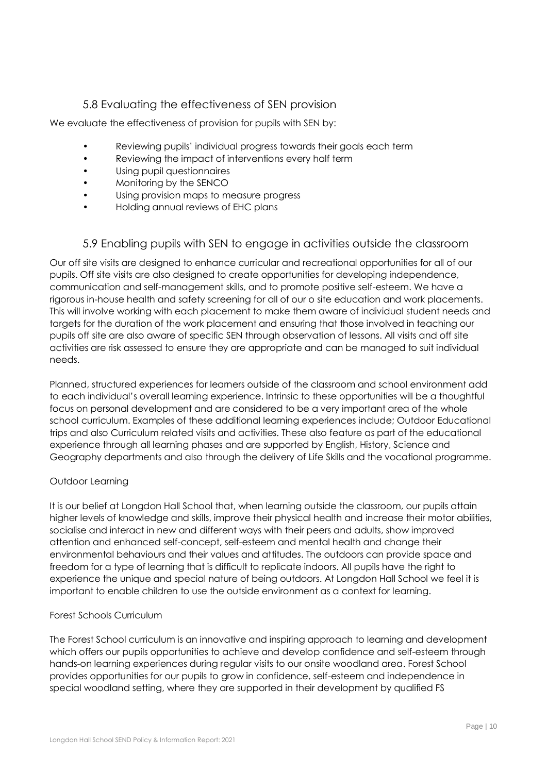### 5.8 Evaluating the effectiveness of SEN provision

<span id="page-9-0"></span>We evaluate the effectiveness of provision for pupils with SEN by:

- Reviewing pupils' individual progress towards their goals each term
- Reviewing the impact of interventions every half term
- Using pupil questionnaires
- Monitoring by the SENCO
- Using provision maps to measure progress
- Holding annual reviews of EHC plans

### 5.9 Enabling pupils with SEN to engage in activities outside the classroom

<span id="page-9-1"></span>Our off site visits are designed to enhance curricular and recreational opportunities for all of our pupils. Off site visits are also designed to create opportunities for developing independence, communication and self-management skills, and to promote positive self-esteem. We have a rigorous in-house health and safety screening for all of our o site education and work placements. This will involve working with each placement to make them aware of individual student needs and targets for the duration of the work placement and ensuring that those involved in teaching our pupils off site are also aware of specific SEN through observation of lessons. All visits and off site activities are risk assessed to ensure they are appropriate and can be managed to suit individual needs.

Planned, structured experiences for learners outside of the classroom and school environment add to each individual's overall learning experience. Intrinsic to these opportunities will be a thoughtful focus on personal development and are considered to be a very important area of the whole school curriculum. Examples of these additional learning experiences include; Outdoor Educational trips and also Curriculum related visits and activities. These also feature as part of the educational experience through all learning phases and are supported by English, History, Science and Geography departments and also through the delivery of Life Skills and the vocational programme.

#### Outdoor Learning

It is our belief at Longdon Hall School that, when learning outside the classroom, our pupils attain higher levels of knowledge and skills, improve their physical health and increase their motor abilities, socialise and interact in new and different ways with their peers and adults, show improved attention and enhanced self-concept, self-esteem and mental health and change their environmental behaviours and their values and attitudes. The outdoors can provide space and freedom for a type of learning that is difficult to replicate indoors. All pupils have the right to experience the unique and special nature of being outdoors. At Longdon Hall School we feel it is important to enable children to use the outside environment as a context for learning.

#### Forest Schools Curriculum

The Forest School curriculum is an innovative and inspiring approach to learning and development which offers our pupils opportunities to achieve and develop confidence and self-esteem through hands-on learning experiences during regular visits to our onsite woodland area. Forest School provides opportunities for our pupils to grow in confidence, self-esteem and independence in special woodland setting, where they are supported in their development by qualified FS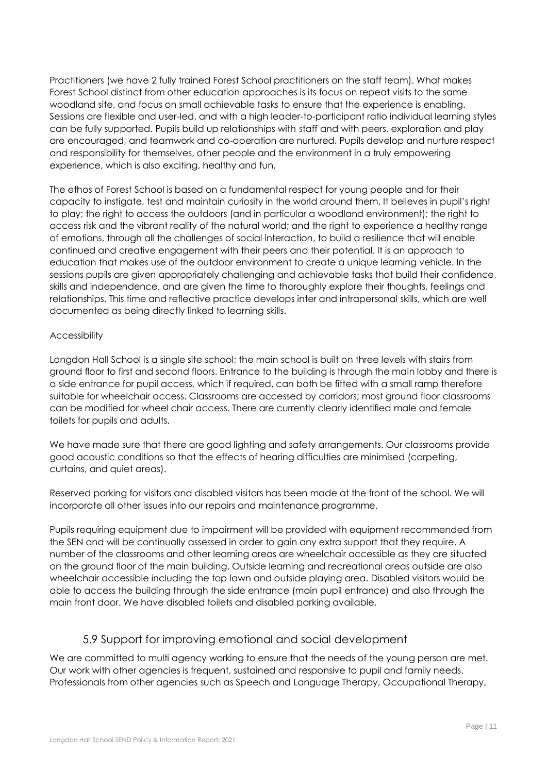Practitioners (we have 2 fully trained Forest School practitioners on the staff team). What makes Forest School distinct from other education approaches is its focus on repeat visits to the same woodland site, and focus on small achievable tasks to ensure that the experience is enabling. Sessions are flexible and user-led, and with a high leader-to-participant ratio individual learning styles can be fully supported. Pupils build up relationships with staff and with peers, exploration and play are encouraged, and teamwork and co-operation are nurtured. Pupils develop and nurture respect and responsibility for themselves, other people and the environment in a truly empowering experience, which is also exciting, healthy and fun.

The ethos of Forest School is based on a fundamental respect for young people and for their capacity to instigate, test and maintain curiosity in the world around them. It believes in pupil's right to play; the right to access the outdoors (and in particular a woodland environment); the right to access risk and the vibrant reality of the natural world; and the right to experience a healthy range of emotions, through all the challenges of social interaction, to build a resilience that will enable continued and creative engagement with their peers and their potential. It is an approach to education that makes use of the outdoor environment to create a unique learning vehicle. In the sessions pupils are given appropriately challenging and achievable tasks that build their confidence, skills and independence, and are given the time to thoroughly explore their thoughts, feelings and relationships. This time and reflective practice develops inter and intrapersonal skills, which are well documented as being directly linked to learning skills.

#### Accessibility

Longdon Hall School is a single site school; the main school is built on three levels with stairs from ground floor to first and second floors. Entrance to the building is through the main lobby and there is a side entrance for pupil access, which if required, can both be fitted with a small ramp therefore suitable for wheelchair access. Classrooms are accessed by corridors; most ground floor classrooms can be modified for wheel chair access. There are currently clearly identified male and female toilets for pupils and adults.

We have made sure that there are good lighting and safety arrangements. Our classrooms provide good acoustic conditions so that the effects of hearing difficulties are minimised (carpeting, curtains, and quiet areas).

Reserved parking for visitors and disabled visitors has been made at the front of the school. We will incorporate all other issues into our repairs and maintenance programme.

Pupils requiring equipment due to impairment will be provided with equipment recommended from the SEN and will be continually assessed in order to gain any extra support that they require. A number of the classrooms and other learning areas are wheelchair accessible as they are situated on the ground floor of the main building. Outside learning and recreational areas outside are also wheelchair accessible including the top lawn and outside playing area. Disabled visitors would be able to access the building through the side entrance (main pupil entrance) and also through the main front door. We have disabled toilets and disabled parking available.

### 5.9 Support for improving emotional and social development

<span id="page-10-0"></span>We are committed to multi agency working to ensure that the needs of the young person are met. Our work with other agencies is frequent, sustained and responsive to pupil and family needs. Professionals from other agencies such as Speech and Language Therapy, Occupational Therapy,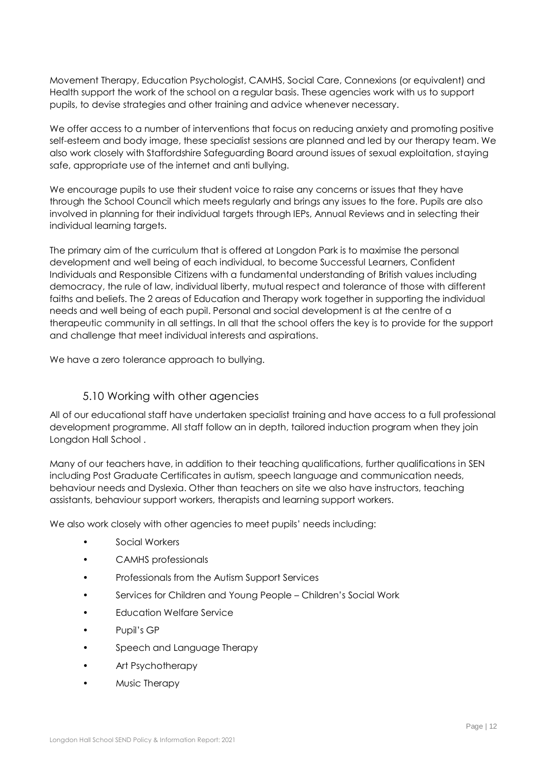Movement Therapy, Education Psychologist, CAMHS, Social Care, Connexions (or equivalent) and Health support the work of the school on a regular basis. These agencies work with us to support pupils, to devise strategies and other training and advice whenever necessary.

We offer access to a number of interventions that focus on reducing anxiety and promoting positive self-esteem and body image, these specialist sessions are planned and led by our therapy team. We also work closely with Staffordshire Safeguarding Board around issues of sexual exploitation, staying safe, appropriate use of the internet and anti bullying.

We encourage pupils to use their student voice to raise any concerns or issues that they have through the School Council which meets regularly and brings any issues to the fore. Pupils are also involved in planning for their individual targets through IEPs, Annual Reviews and in selecting their individual learning targets.

The primary aim of the curriculum that is offered at Longdon Park is to maximise the personal development and well being of each individual, to become Successful Learners, Confident Individuals and Responsible Citizens with a fundamental understanding of British values including democracy, the rule of law, individual liberty, mutual respect and tolerance of those with different faiths and beliefs. The 2 areas of Education and Therapy work together in supporting the individual needs and well being of each pupil. Personal and social development is at the centre of a therapeutic community in all settings. In all that the school offers the key is to provide for the support and challenge that meet individual interests and aspirations.

We have a zero tolerance approach to bullying.

### 5.10 Working with other agencies

<span id="page-11-0"></span>All of our educational staff have undertaken specialist training and have access to a full professional development programme. All staff follow an in depth, tailored induction program when they join Longdon Hall School .

Many of our teachers have, in addition to their teaching qualifications, further qualifications in SEN including Post Graduate Certificates in autism, speech language and communication needs, behaviour needs and Dyslexia. Other than teachers on site we also have instructors, teaching assistants, behaviour support workers, therapists and learning support workers.

We also work closely with other agencies to meet pupils' needs including:

- Social Workers
- CAMHS professionals
- Professionals from the Autism Support Services
- Services for Children and Young People Children's Social Work
- Education Welfare Service
- Pupil's GP
- Speech and Language Therapy
- Art Psychotherapy
- Music Therapy